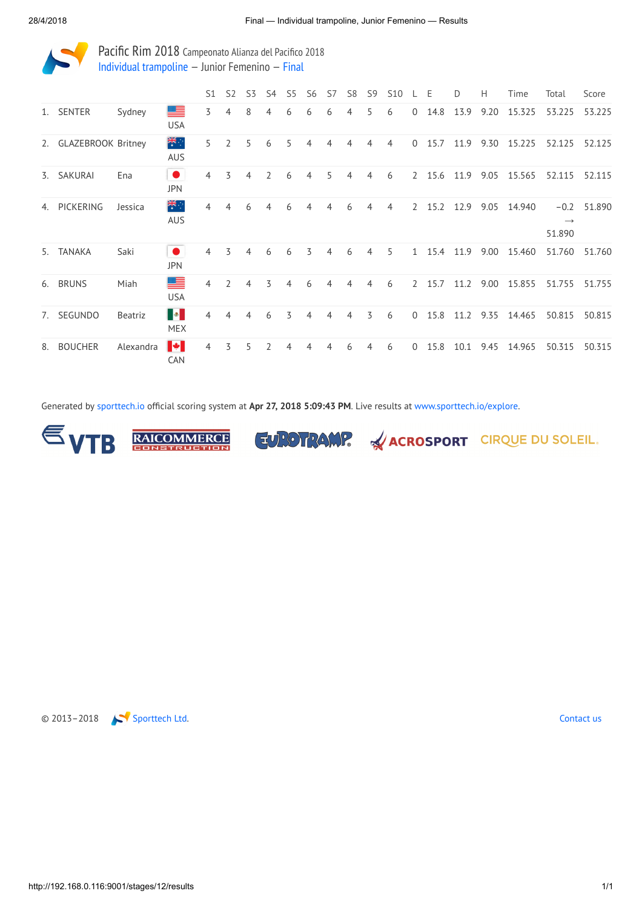

Pacific Rim 2018 Campeonato Alianza del Pacifico 2018 Individual [trampoline](http://192.168.0.116:9001/event/TRA) — Junior Femenino — [Final](http://192.168.0.116:9001/stages/12)

|    |                       |           |                                                 | S <sub>1</sub> | S <sub>2</sub> | S <sub>3</sub> | S <sub>4</sub> | S <sub>5</sub> | S6 | S7 | S <sub>8</sub> | S <sub>9</sub> | S <sub>10</sub> |                | Ε    | D    | Н    | Time   | Total                             | Score  |
|----|-----------------------|-----------|-------------------------------------------------|----------------|----------------|----------------|----------------|----------------|----|----|----------------|----------------|-----------------|----------------|------|------|------|--------|-----------------------------------|--------|
| 1. | SENTER                | Sydney    | ▀<br><b>USA</b>                                 | 3              | 4              | 8              | 4              | 6              | 6  | 6  | 4              | 5              | 6               | $\Omega$       | 14.8 | 13.9 | 9.20 | 15.325 | 53.225                            | 53.225 |
|    | 2. GLAZEBROOK Britney |           | 米<br>AUS                                        | 5              | $\overline{2}$ | 5              | 6              | 5              | 4  | 4  | 4              | 4              | 4               | $\Omega$       | 15.7 | 11.9 | 9.30 | 15.225 | 52.125                            | 52.125 |
|    | 3. SAKURAI            | Ena       | $\bullet$<br><b>JPN</b>                         | 4              | 3              | 4              | $\overline{2}$ | 6              | 4  | 5  | 4              | 4              | 6               | $\overline{2}$ | 15.6 | 11.9 | 9.05 | 15.565 | 52.115                            | 52.115 |
|    | 4. PICKERING          | Jessica   | ँहँ<br><b>AUS</b>                               | 4              | 4              | 6              | 4              | 6              | 4  | 4  | 6              | 4              | 4               | $\overline{2}$ | 15.2 | 12.9 | 9.05 | 14.940 | $-0.2$<br>$\rightarrow$<br>51.890 | 51.890 |
|    | 5. TANAKA             | Saki      | $\bullet$<br><b>JPN</b>                         | $\overline{4}$ | 3              | 4              | 6              | 6              | 3  | 4  | 6              | 4              | 5               | $\mathbf{1}$   | 15.4 | 11.9 | 9.00 | 15.460 | 51.760                            | 51.760 |
|    | 6. BRUNS              | Miah      | 트<br><b>USA</b>                                 | 4              | $\overline{2}$ | 4              | 3              | 4              | 6  | 4  | 4              | 4              | 6               | $\mathcal{L}$  | 15.7 | 11.2 | 9.00 | 15.855 | 51.755                            | 51.755 |
| 7. | <b>SEGUNDO</b>        | Beatriz   | $\blacksquare\bullet\blacksquare$<br><b>MEX</b> | 4              | 4              | 4              | 6              | 3              | 4  | 4  | 4              | 3              | 6               | $\Omega$       | 15.8 | 11.2 | 9.35 | 14.465 | 50.815                            | 50.815 |
| 8. | <b>BOUCHER</b>        | Alexandra | $\blacktriangleright$<br>CAN                    | 4              | 3              | 5              | 2              | 4              | 4  | 4  | 6              | 4              | 6               | $\Omega$       | 15.8 | 10.1 | 9.45 | 14.965 | 50.315                            | 50.315 |

Generated by [sporttech.io](https://sporttech.io/) official scoring system at Apr 27, 2018 5:09:43 PM. Live results at [www.sporttech.io/explore](https://sporttech.io/explore).



**RAICOMMERCE** 





EUROTRAMP. ACROSPORT CIRQUE DU SOLEIL.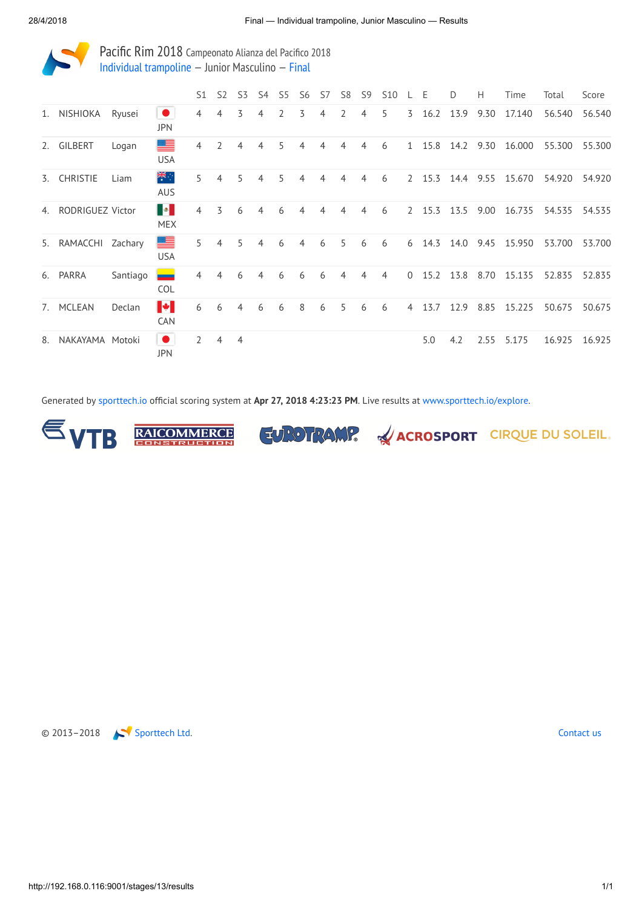

Pacific Rim 2018 Campeonato Alianza del Pacifico 2018 Individual [trampoline](http://192.168.0.116:9001/event/TRA) — Junior Masculino — [Final](http://192.168.0.116:9001/stages/13)

|    |                     |          |                                                   | S1             | S <sub>2</sub> | S3             | S4 | S <sub>5</sub> | S <sub>6</sub> | S7 | S <sub>8</sub> | S <sub>9</sub> | <b>S10</b> |                | Е       | D    | Н    | Time   | Total  | Score  |
|----|---------------------|----------|---------------------------------------------------|----------------|----------------|----------------|----|----------------|----------------|----|----------------|----------------|------------|----------------|---------|------|------|--------|--------|--------|
| 1. | NISHIOKA            | Ryusei   | $\bullet$<br><b>JPN</b>                           | 4              | 4              | 3              | 4  | 2              | 3              | 4  | $\overline{2}$ | 4              | 5          |                | 3, 16.2 | 13.9 | 9.30 | 17.140 | 56.540 | 56.540 |
|    | 2. GILBERT          | Logan    | ▀<br><b>USA</b>                                   | 4              | $\overline{2}$ | 4              | 4  | 5              | 4              | 4  | 4              | 4              | 6          |                | 1 15.8  | 14.2 | 9.30 | 16.000 | 55.300 | 55.300 |
| 3. | <b>CHRISTIE</b>     | Liam     | 米<br><b>AUS</b>                                   | 5              | 4              | 5              |    | 5              | 4              |    | 4              | 4              | 6          | 2              | 15.3    | 14.4 | 9.55 | 15.670 | 54.920 | 54.920 |
| 4. | RODRIGUEZ Victor    |          | $\blacksquare \bullet \blacksquare$<br><b>MEX</b> | $\overline{4}$ | 3              | 6              | 4  | 6              | 4              | 4  | 4              | 4              | 6          |                | 2 15.3  | 13.5 | 9.00 | 16.735 | 54.535 | 54.535 |
|    | 5. RAMACCHI Zachary |          | ▀<br><b>USA</b>                                   | 5              | 4              | 5.             | 4  | 6              | 4              | 6  | 5              | 6              | 6          | 6              | 14.3    | 14.0 | 9.45 | 15.950 | 53.700 | 53.700 |
|    | 6. PARRA            | Santiago | _<br><b>COL</b>                                   | 4              | 4              | 6              | 4  | 6              | 6              | 6  | 4              | 4              | 4          | $\overline{0}$ | 15.2    | 13.8 | 8.70 | 15.135 | 52.835 | 52.835 |
| 7. | MCLEAN              | Declan   | $\blacktriangleright$<br><b>CAN</b>               | 6              | 6              | 4              | 6  | 6              | 8              | 6  | 5              | 6              | 6          | 4              | 13.7    | 12.9 | 8.85 | 15.225 | 50.675 | 50.675 |
| 8. | NAKAYAMA Motoki     |          | $\bullet$<br><b>JPN</b>                           | $\overline{2}$ | $\overline{4}$ | $\overline{4}$ |    |                |                |    |                |                |            |                | 5.0     | 4.2  | 2.55 | 5.175  | 16.925 | 16.925 |

Generated by [sporttech.io](https://sporttech.io/) official scoring system at Apr 27, 2018 4:23:23 PM. Live results at [www.sporttech.io/explore.](https://sporttech.io/explore)



**RAICOMMERCE** 





EUROTRAMP. & ACROSPORT CIRQUE DU SOLEIL.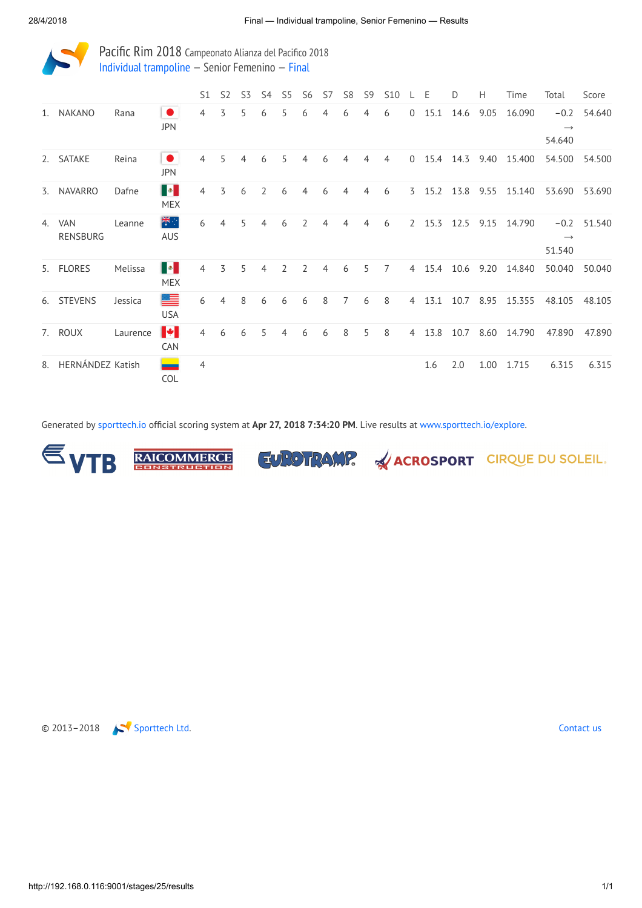

Pacific Rim 2018 Campeonato Alianza del Pacifico 2018 Individual [trampoline](http://192.168.0.116:9001/event/TRA) — Senior Femenino — [Final](http://192.168.0.116:9001/stages/25)

|    |                        |          |                                                                                                                        | S <sub>1</sub> | S <sub>2</sub> | S <sub>3</sub> | S4             | S <sub>5</sub> | S <sub>6</sub> | S7 | S <sub>8</sub> | S <sub>9</sub> | <b>S10</b>     |                | Ε    | D    | Н    | Time   | Total                             | Score  |
|----|------------------------|----------|------------------------------------------------------------------------------------------------------------------------|----------------|----------------|----------------|----------------|----------------|----------------|----|----------------|----------------|----------------|----------------|------|------|------|--------|-----------------------------------|--------|
| 1. | NAKANO                 | Rana     | $\bullet$<br><b>JPN</b>                                                                                                | $\overline{4}$ | 3              | 5              | 6              | 5              | 6              | 4  | 6              | 4              | 6              | $\overline{0}$ | 15.1 | 14.6 | 9.05 | 16.090 | $-0.2$<br>$\rightarrow$<br>54.640 | 54.640 |
|    | 2. SATAKE              | Reina    | $\bullet$<br><b>JPN</b>                                                                                                | 4              | 5              | 4              | 6              | 5              | 4              | 6  | 4              | 4              | $\overline{4}$ | $\mathbf{0}$   | 15.4 | 14.3 | 9.40 | 15.400 | 54.500                            | 54.500 |
|    | 3. NAVARRO             | Dafne    | <b>B</b><br><b>MEX</b>                                                                                                 | $\overline{4}$ | 3              | 6              | $\overline{2}$ | 6              | 4              | 6  | 4              | 4              | 6              | $\overline{3}$ | 15.2 | 13.8 | 9.55 | 15.140 | 53.690                            | 53.690 |
| 4. | <b>VAN</b><br>RENSBURG | Leanne   | 米<br><b>AUS</b>                                                                                                        | 6              | $\overline{4}$ | 5              | 4              | 6              | $\overline{2}$ | 4  | 4              | 4              | 6              | $\overline{2}$ | 15.3 | 12.5 | 9.15 | 14.790 | $-0.2$<br>$\rightarrow$<br>51.540 | 51.540 |
|    | 5. FLORES              | Melissa  | $\begin{array}{ c c c }\hline \multicolumn{1}{ c }{\bullet} & \multicolumn{1}{ c }{\bullet} \end{array}$<br><b>MEX</b> | 4              | 3              | 5              | 4              | $\overline{2}$ | $\mathcal{P}$  | 4  | 6              | 5              | $\overline{7}$ | $\overline{4}$ | 15.4 | 10.6 | 9.20 | 14.840 | 50.040                            | 50.040 |
|    | 6. STEVENS             | Jessica  | ▀<br><b>USA</b>                                                                                                        | 6              | 4              | 8              | 6              | 6              | 6              | 8  | $\overline{7}$ | 6              | 8              | $\overline{4}$ | 13.1 | 10.7 | 8.95 | 15.355 | 48.105                            | 48.105 |
|    | 7. ROUX                | Laurence | $\blacktriangleright$<br>CAN                                                                                           | 4              | 6              | 6              | 5              | 4              | 6              | 6  | 8              | 5              | 8              | $\overline{4}$ | 13.8 | 10.7 | 8.60 | 14.790 | 47.890                            | 47.890 |
| 8. | HERNÁNDEZ Katish       |          | COL                                                                                                                    | $\overline{4}$ |                |                |                |                |                |    |                |                |                |                | 1.6  | 2.0  | 1.00 | 1.715  | 6.315                             | 6.315  |

Generated by [sporttech.io](https://sporttech.io/) official scoring system at Apr 27, 2018 7:34:20 PM. Live results at [www.sporttech.io/explore.](https://sporttech.io/explore)









## EUROTRAMP. & ACROSPORT CIRQUE DU SOLEIL.